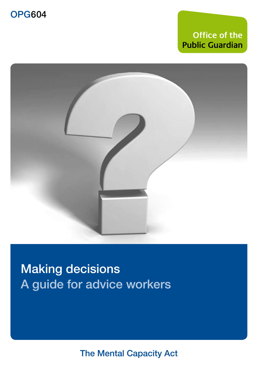## **Office of the Public Guardian**



Making decisions A guide for advice workers

The Mental Capacity Act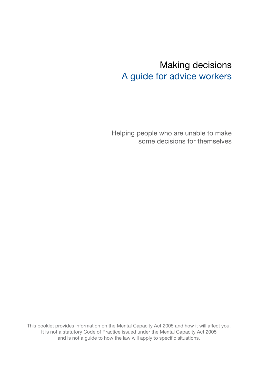## Making decisions A guide for advice workers

Helping people who are unable to make some decisions for themselves

This booklet provides information on the Mental Capacity Act 2005 and how it will affect you. It is not a statutory Code of Practice issued under the Mental Capacity Act 2005 and is not a guide to how the law will apply to specific situations.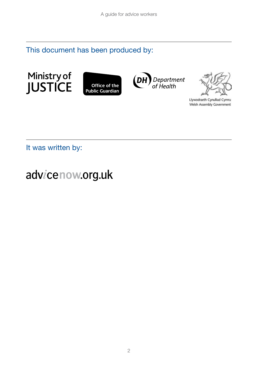This document has been produced by:









Llywodraeth Cynulliad Cymru Welsh Assembly Government

It was written by:

# advicenow.org.uk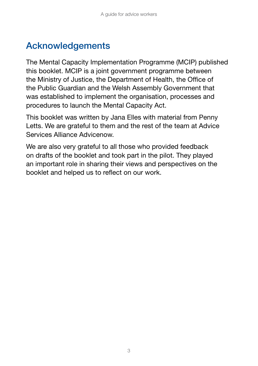## Acknowledgements

The Mental Capacity Implementation Programme (MCIP) published this booklet. MCIP is a joint government programme between the Ministry of Justice, the Department of Health, the Office of the Public Guardian and the Welsh Assembly Government that was established to implement the organisation, processes and procedures to launch the Mental Capacity Act.

This booklet was written by Jana Elles with material from Penny Letts. We are grateful to them and the rest of the team at Advice Services Alliance Advicenow.

We are also very grateful to all those who provided feedback on drafts of the booklet and took part in the pilot. They played an important role in sharing their views and perspectives on the booklet and helped us to reflect on our work.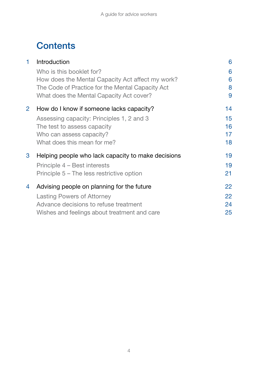## **Contents**

| 1                    | Introduction                                       | 6  |
|----------------------|----------------------------------------------------|----|
|                      | Who is this booklet for?                           | 6  |
|                      | How does the Mental Capacity Act affect my work?   | 6  |
|                      | The Code of Practice for the Mental Capacity Act   | 8  |
|                      | What does the Mental Capacity Act cover?           | 9  |
| $\mathbf{2}^{\circ}$ | How do I know if someone lacks capacity?           | 14 |
|                      | Assessing capacity: Principles 1, 2 and 3          | 15 |
|                      | The test to assess capacity                        | 16 |
|                      | Who can assess capacity?                           | 17 |
|                      | What does this mean for me?                        | 18 |
| 3                    | Helping people who lack capacity to make decisions | 19 |
|                      | Principle 4 – Best interests                       | 19 |
|                      | Principle 5 – The less restrictive option          | 21 |
| 4                    | Advising people on planning for the future         | 22 |
|                      | Lasting Powers of Attorney                         | 22 |
|                      | Advance decisions to refuse treatment              | 24 |
|                      | Wishes and feelings about treatment and care       | 25 |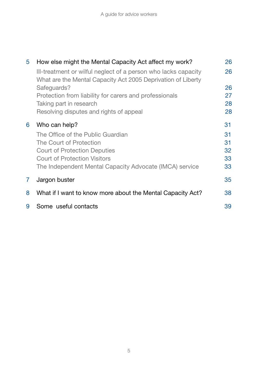| 5 | How else might the Mental Capacity Act affect my work?                                                                         | 26 |
|---|--------------------------------------------------------------------------------------------------------------------------------|----|
|   | Ill-treatment or wilful neglect of a person who lacks capacity<br>What are the Mental Capacity Act 2005 Deprivation of Liberty | 26 |
|   | Safeguards?                                                                                                                    | 26 |
|   | Protection from liability for carers and professionals                                                                         | 27 |
|   | Taking part in research                                                                                                        | 28 |
|   | Resolving disputes and rights of appeal                                                                                        | 28 |
| 6 | Who can help?                                                                                                                  | 31 |
|   | The Office of the Public Guardian                                                                                              | 31 |
|   | The Court of Protection                                                                                                        | 31 |
|   | <b>Court of Protection Deputies</b>                                                                                            | 32 |
|   | <b>Court of Protection Visitors</b>                                                                                            | 33 |
|   | The Independent Mental Capacity Advocate (IMCA) service                                                                        | 33 |
| 7 | Jargon buster                                                                                                                  | 35 |
| 8 | What if I want to know more about the Mental Capacity Act?                                                                     | 38 |
| 9 | Some useful contacts                                                                                                           | 39 |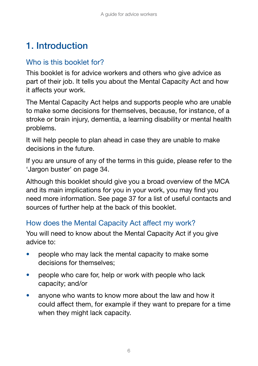## 1. Introduction

## Who is this booklet for?

This booklet is for advice workers and others who give advice as part of their job. It tells you about the Mental Capacity Act and how it affects your work.

The Mental Capacity Act helps and supports people who are unable to make some decisions for themselves, because, for instance, of a stroke or brain injury, dementia, a learning disability or mental health problems.

It will help people to plan ahead in case they are unable to make decisions in the future.

If you are unsure of any of the terms in this guide, please refer to the 'Jargon buster' on page 34.

Although this booklet should give you a broad overview of the MCA and its main implications for you in your work, you may find you need more information. See page 37 for a list of useful contacts and sources of further help at the back of this booklet.

## How does the Mental Capacity Act affect my work?

You will need to know about the Mental Capacity Act if you give advice to:

- people who may lack the mental capacity to make some decisions for themselves;
- people who care for, help or work with people who lack capacity; and/or
- anyone who wants to know more about the law and how it could affect them, for example if they want to prepare for a time when they might lack capacity.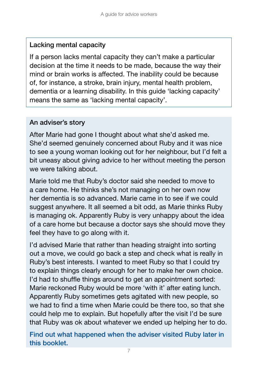#### Lacking mental capacity

If a person lacks mental capacity they can't make a particular decision at the time it needs to be made, because the way their mind or brain works is affected. The inability could be because of, for instance, a stroke, brain injury, mental health problem, dementia or a learning disability. In this guide 'lacking capacity' means the same as 'lacking mental capacity'.

#### An adviser's story

After Marie had gone I thought about what she'd asked me. She'd seemed genuinely concerned about Ruby and it was nice to see a young woman looking out for her neighbour, but I'd felt a bit uneasy about giving advice to her without meeting the person we were talking about.

Marie told me that Ruby's doctor said she needed to move to a care home. He thinks she's not managing on her own now her dementia is so advanced. Marie came in to see if we could suggest anywhere. It all seemed a bit odd, as Marie thinks Ruby is managing ok. Apparently Ruby is very unhappy about the idea of a care home but because a doctor says she should move they feel they have to go along with it.

I'd advised Marie that rather than heading straight into sorting out a move, we could go back a step and check what is really in Ruby's best interests. I wanted to meet Ruby so that I could try to explain things clearly enough for her to make her own choice. I'd had to shuffle things around to get an appointment sorted: Marie reckoned Ruby would be more 'with it' after eating lunch. Apparently Ruby sometimes gets agitated with new people, so we had to find a time when Marie could be there too, so that she could help me to explain. But hopefully after the visit I'd be sure that Ruby was ok about whatever we ended up helping her to do.

Find out what happened when the adviser visited Ruby later in this booklet.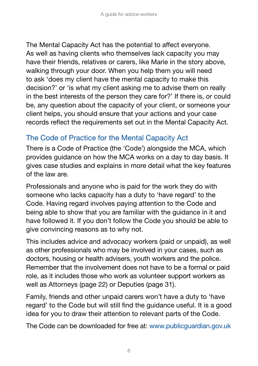The Mental Capacity Act has the potential to affect everyone. As well as having clients who themselves lack capacity you may have their friends, relatives or carers, like Marie in the story above, walking through your door. When you help them you will need to ask 'does my client have the mental capacity to make this decision?' or 'is what my client asking me to advise them on really in the best interests of the person they care for?' If there is, or could be, any question about the capacity of your client, or someone your client helps, you should ensure that your actions and your case records reflect the requirements set out in the Mental Capacity Act.

## The Code of Practice for the Mental Capacity Act

There is a Code of Practice (the 'Code') alongside the MCA, which provides guidance on how the MCA works on a day to day basis. It gives case studies and explains in more detail what the key features of the law are.

Professionals and anyone who is paid for the work they do with someone who lacks capacity has a duty to 'have regard' to the Code. Having regard involves paying attention to the Code and being able to show that you are familiar with the guidance in it and have followed it. If you don't follow the Code you should be able to give convincing reasons as to why not.

This includes advice and advocacy workers (paid or unpaid), as well as other professionals who may be involved in your cases, such as doctors, housing or health advisers, youth workers and the police. Remember that the involvement does not have to be a formal or paid role, as it includes those who work as volunteer support workers as well as Attorneys (page 22) or Deputies (page 31).

Family, friends and other unpaid carers won't have a duty to 'have regard' to the Code but will still find the guidance useful. It is a good idea for you to draw their attention to relevant parts of the Code.

The Code can be downloaded for free at: www.publicguardian.gov.uk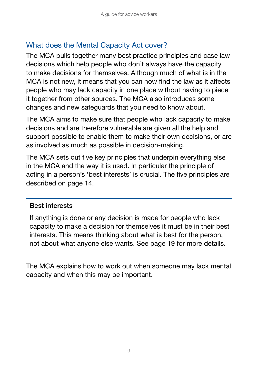## What does the Mental Capacity Act cover?

The MCA pulls together many best practice principles and case law decisions which help people who don't always have the capacity to make decisions for themselves. Although much of what is in the MCA is not new, it means that you can now find the law as it affects people who may lack capacity in one place without having to piece it together from other sources. The MCA also introduces some changes and new safeguards that you need to know about.

The MCA aims to make sure that people who lack capacity to make decisions and are therefore vulnerable are given all the help and support possible to enable them to make their own decisions, or are as involved as much as possible in decision-making.

The MCA sets out five key principles that underpin everything else in the MCA and the way it is used. In particular the principle of acting in a person's 'best interests' is crucial. The five principles are described on page 14.

#### Best interests

If anything is done or any decision is made for people who lack capacity to make a decision for themselves it must be in their best interests. This means thinking about what is best for the person, not about what anyone else wants. See page 19 for more details.

The MCA explains how to work out when someone may lack mental capacity and when this may be important.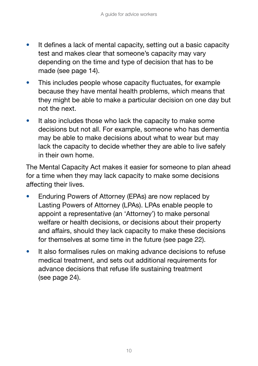- It defines a lack of mental capacity, setting out a basic capacity test and makes clear that someone's capacity may vary depending on the time and type of decision that has to be made (see page 14).
- This includes people whose capacity fluctuates, for example because they have mental health problems, which means that they might be able to make a particular decision on one day but not the next.
- $\bullet$  It also includes those who lack the capacity to make some decisions but not all. For example, someone who has dementia may be able to make decisions about what to wear but may lack the capacity to decide whether they are able to live safely in their own home.

The Mental Capacity Act makes it easier for someone to plan ahead for a time when they may lack capacity to make some decisions affecting their lives.

- Enduring Powers of Attorney (EPAs) are now replaced by Lasting Powers of Attorney (LPAs). LPAs enable people to appoint a representative (an 'Attorney') to make personal welfare or health decisions, or decisions about their property and affairs, should they lack capacity to make these decisions for themselves at some time in the future (see page 22).
- It also formalises rules on making advance decisions to refuse medical treatment, and sets out additional requirements for advance decisions that refuse life sustaining treatment (see page 24).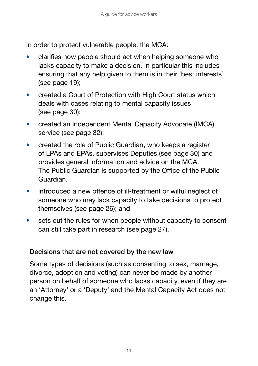In order to protect vulnerable people, the MCA:

- clarifies how people should act when helping someone who lacks capacity to make a decision. In particular this includes ensuring that any help given to them is in their 'best interests' (see page 19);
- created a Court of Protection with High Court status which deals with cases relating to mental capacity issues (see page 30);
- created an Independent Mental Capacity Advocate (IMCA) service (see page 32);
- created the role of Public Guardian, who keeps a register of LPAs and EPAs, supervises Deputies (see page 30) and provides general information and advice on the MCA. The Public Guardian is supported by the Office of the Public Guardian.
- introduced a new offence of ill-treatment or wilful neglect of someone who may lack capacity to take decisions to protect themselves (see page 26); and
- sets out the rules for when people without capacity to consent can still take part in research (see page 27).

#### Decisions that are not covered by the new law

Some types of decisions (such as consenting to sex, marriage, divorce, adoption and voting) can never be made by another person on behalf of someone who lacks capacity, even if they are an 'Attorney' or a 'Deputy' and the Mental Capacity Act does not change this.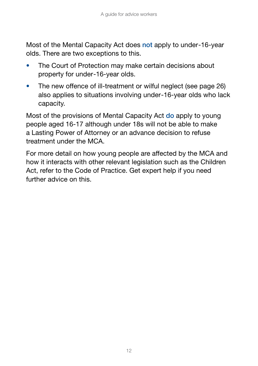Most of the Mental Capacity Act does not apply to under-16-year olds. There are two exceptions to this.

- The Court of Protection may make certain decisions about property for under-16-year olds.
- The new offence of ill-treatment or wilful neglect (see page 26) also applies to situations involving under-16-year olds who lack capacity.

Most of the provisions of Mental Capacity Act do apply to young people aged 16-17 although under 18s will not be able to make a Lasting Power of Attorney or an advance decision to refuse treatment under the MCA.

For more detail on how young people are affected by the MCA and how it interacts with other relevant legislation such as the Children Act, refer to the Code of Practice. Get expert help if you need further advice on this.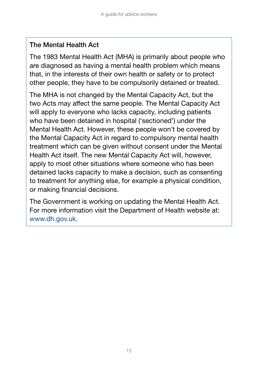#### The Mental Health Act

The 1983 Mental Health Act (MHA) is primarily about people who are diagnosed as having a mental health problem which means that, in the interests of their own health or safety or to protect other people, they have to be compulsorily detained or treated.

The MHA is not changed by the Mental Capacity Act, but the two Acts may affect the same people. The Mental Capacity Act will apply to everyone who lacks capacity, including patients who have been detained in hospital ('sectioned') under the Mental Health Act. However, these people won't be covered by the Mental Capacity Act in regard to compulsory mental health treatment which can be given without consent under the Mental Health Act itself. The new Mental Capacity Act will, however, apply to most other situations where someone who has been detained lacks capacity to make a decision, such as consenting to treatment for anything else, for example a physical condition, or making financial decisions.

The Government is working on updating the Mental Health Act. For more information visit the Department of Health website at: www.dh.gov.uk.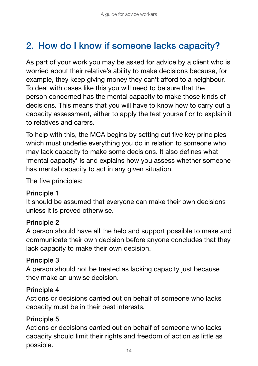## 2. How do I know if someone lacks capacity?

As part of your work you may be asked for advice by a client who is worried about their relative's ability to make decisions because, for example, they keep giving money they can't afford to a neighbour. To deal with cases like this you will need to be sure that the person concerned has the mental capacity to make those kinds of decisions. This means that you will have to know how to carry out a capacity assessment, either to apply the test yourself or to explain it to relatives and carers.

To help with this, the MCA begins by setting out five key principles which must underlie everything you do in relation to someone who may lack capacity to make some decisions. It also defines what 'mental capacity' is and explains how you assess whether someone has mental capacity to act in any given situation.

The five principles:

#### Principle 1

It should be assumed that everyone can make their own decisions unless it is proved otherwise.

#### Principle 2

A person should have all the help and support possible to make and communicate their own decision before anyone concludes that they lack capacity to make their own decision.

#### Principle 3

A person should not be treated as lacking capacity just because they make an unwise decision.

#### Principle 4

Actions or decisions carried out on behalf of someone who lacks capacity must be in their best interests.

#### Principle 5

Actions or decisions carried out on behalf of someone who lacks capacity should limit their rights and freedom of action as little as possible.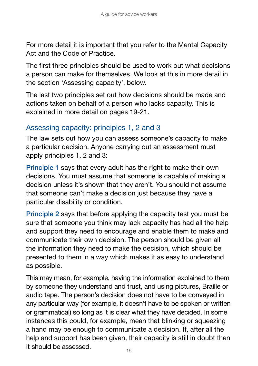For more detail it is important that you refer to the Mental Capacity Act and the Code of Practice.

The first three principles should be used to work out what decisions a person can make for themselves. We look at this in more detail in the section 'Assessing capacity', below.

The last two principles set out how decisions should be made and actions taken on behalf of a person who lacks capacity. This is explained in more detail on pages 19-21.

### Assessing capacity: principles 1, 2 and 3

The law sets out how you can assess someone's capacity to make a particular decision. Anyone carrying out an assessment must apply principles 1, 2 and 3:

Principle 1 says that every adult has the right to make their own decisions. You must assume that someone is capable of making a decision unless it's shown that they aren't. You should not assume that someone can't make a decision just because they have a particular disability or condition.

Principle 2 says that before applying the capacity test you must be sure that someone you think may lack capacity has had all the help and support they need to encourage and enable them to make and communicate their own decision. The person should be given all the information they need to make the decision, which should be presented to them in a way which makes it as easy to understand as possible.

This may mean, for example, having the information explained to them by someone they understand and trust, and using pictures, Braille or audio tape. The person's decision does not have to be conveyed in any particular way (for example, it doesn't have to be spoken or written or grammatical) so long as it is clear what they have decided. In some instances this could, for example, mean that blinking or squeezing a hand may be enough to communicate a decision. If, after all the help and support has been given, their capacity is still in doubt then it should be assessed.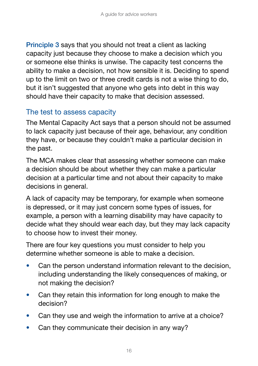Principle 3 says that you should not treat a client as lacking capacity just because they choose to make a decision which you or someone else thinks is unwise. The capacity test concerns the ability to make a decision, not how sensible it is. Deciding to spend up to the limit on two or three credit cards is not a wise thing to do, but it isn't suggested that anyone who gets into debt in this way should have their capacity to make that decision assessed.

### The test to assess capacity

The Mental Capacity Act says that a person should not be assumed to lack capacity just because of their age, behaviour, any condition they have, or because they couldn't make a particular decision in the past.

The MCA makes clear that assessing whether someone can make a decision should be about whether they can make a particular decision at a particular time and not about their capacity to make decisions in general.

A lack of capacity may be temporary, for example when someone is depressed, or it may just concern some types of issues, for example, a person with a learning disability may have capacity to decide what they should wear each day, but they may lack capacity to choose how to invest their money.

There are four key questions you must consider to help you determine whether someone is able to make a decision.

- Can the person understand information relevant to the decision, including understanding the likely consequences of making, or not making the decision?
- Can they retain this information for long enough to make the decision?
- Can they use and weigh the information to arrive at a choice?
- Can they communicate their decision in any way?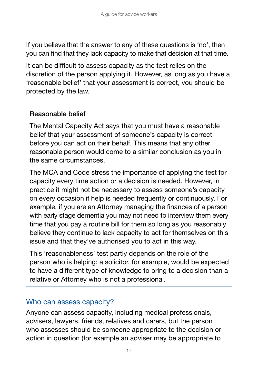If you believe that the answer to any of these questions is 'no', then you can find that they lack capacity to make that decision at that time.

It can be difficult to assess capacity as the test relies on the discretion of the person applying it. However, as long as you have a 'reasonable belief' that your assessment is correct, you should be protected by the law.

#### Reasonable belief

The Mental Capacity Act says that you must have a reasonable belief that your assessment of someone's capacity is correct before you can act on their behalf. This means that any other reasonable person would come to a similar conclusion as you in the same circumstances.

The MCA and Code stress the importance of applying the test for capacity every time action or a decision is needed. However, in practice it might not be necessary to assess someone's capacity on every occasion if help is needed frequently or continuously. For example, if you are an Attorney managing the finances of a person with early stage dementia you may not need to interview them every time that you pay a routine bill for them so long as you reasonably believe they continue to lack capacity to act for themselves on this issue and that they've authorised you to act in this way.

This 'reasonableness' test partly depends on the role of the person who is helping: a solicitor, for example, would be expected to have a different type of knowledge to bring to a decision than a relative or Attorney who is not a professional.

#### Who can assess capacity?

Anyone can assess capacity, including medical professionals, advisers, lawyers, friends, relatives and carers, but the person who assesses should be someone appropriate to the decision or action in question (for example an adviser may be appropriate to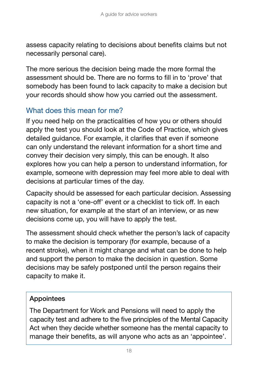assess capacity relating to decisions about benefits claims but not necessarily personal care).

The more serious the decision being made the more formal the assessment should be. There are no forms to fill in to 'prove' that somebody has been found to lack capacity to make a decision but your records should show how you carried out the assessment.

## What does this mean for me?

If you need help on the practicalities of how you or others should apply the test you should look at the Code of Practice, which gives detailed guidance. For example, it clarifies that even if someone can only understand the relevant information for a short time and convey their decision very simply, this can be enough. It also explores how you can help a person to understand information, for example, someone with depression may feel more able to deal with decisions at particular times of the day.

Capacity should be assessed for each particular decision. Assessing capacity is not a 'one-off' event or a checklist to tick off. In each new situation, for example at the start of an interview, or as new decisions come up, you will have to apply the test.

The assessment should check whether the person's lack of capacity to make the decision is temporary (for example, because of a recent stroke), when it might change and what can be done to help and support the person to make the decision in question. Some decisions may be safely postponed until the person regains their capacity to make it.

#### Appointees

The Department for Work and Pensions will need to apply the capacity test and adhere to the five principles of the Mental Capacity Act when they decide whether someone has the mental capacity to manage their benefits, as will anyone who acts as an 'appointee'.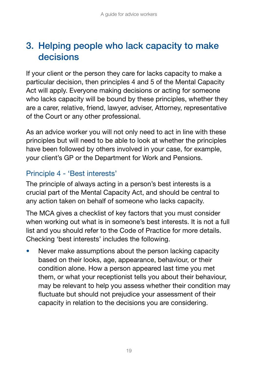## 3. Helping people who lack capacity to make decisions

If your client or the person they care for lacks capacity to make a particular decision, then principles 4 and 5 of the Mental Capacity Act will apply. Everyone making decisions or acting for someone who lacks capacity will be bound by these principles, whether they are a carer, relative, friend, lawyer, adviser, Attorney, representative of the Court or any other professional.

As an advice worker you will not only need to act in line with these principles but will need to be able to look at whether the principles have been followed by others involved in your case, for example, your client's GP or the Department for Work and Pensions.

## Principle 4 - 'Best interests'

The principle of always acting in a person's best interests is a crucial part of the Mental Capacity Act, and should be central to any action taken on behalf of someone who lacks capacity.

The MCA gives a checklist of key factors that you must consider when working out what is in someone's best interests. It is not a full list and you should refer to the Code of Practice for more details. Checking 'best interests' includes the following.

Never make assumptions about the person lacking capacity based on their looks, age, appearance, behaviour, or their condition alone. How a person appeared last time you met them, or what your receptionist tells you about their behaviour, may be relevant to help you assess whether their condition may fluctuate but should not prejudice your assessment of their capacity in relation to the decisions you are considering.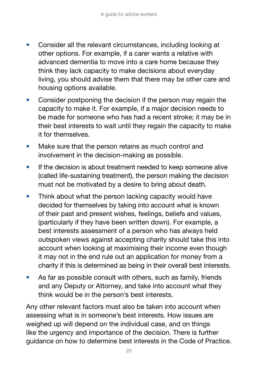- Consider all the relevant circumstances, including looking at other options. For example, if a carer wants a relative with advanced dementia to move into a care home because they think they lack capacity to make decisions about everyday living, you should advise them that there may be other care and housing options available.
- Consider postponing the decision if the person may regain the capacity to make it. For example, if a major decision needs to be made for someone who has had a recent stroke; it may be in their best interests to wait until they regain the capacity to make it for themselves.
- Make sure that the person retains as much control and involvement in the decision-making as possible.
- If the decision is about treatment needed to keep someone alive (called life-sustaining treatment), the person making the decision must not be motivated by a desire to bring about death.
- Think about what the person lacking capacity would have decided for themselves by taking into account what is known of their past and present wishes, feelings, beliefs and values, (particularly if they have been written down). For example, a best interests assessment of a person who has always held outspoken views against accepting charity should take this into account when looking at maximising their income even though it may not in the end rule out an application for money from a charity if this is determined as being in their overall best interests.
- As far as possible consult with others, such as family, friends and any Deputy or Attorney, and take into account what they think would be in the person's best interests.

Any other relevant factors must also be taken into account when assessing what is in someone's best interests. How issues are weighed up will depend on the individual case, and on things like the urgency and importance of the decision. There is further guidance on how to determine best interests in the Code of Practice.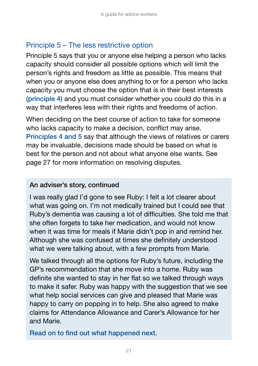### Principle 5 – The less restrictive option

Principle 5 says that you or anyone else helping a person who lacks capacity should consider all possible options which will limit the person's rights and freedom as little as possible. This means that when you or anyone else does anything to or for a person who lacks capacity you must choose the option that is in their best interests (principle 4) and you must consider whether you could do this in a way that interferes less with their rights and freedoms of action.

When deciding on the best course of action to take for someone who lacks capacity to make a decision, conflict may arise. Principles 4 and 5 say that although the views of relatives or carers may be invaluable, decisions made should be based on what is best for the person and not about what anyone else wants. See page 27 for more information on resolving disputes.

#### An adviser's story, continued

I was really glad I'd gone to see Ruby: I felt a lot clearer about what was going on. I'm not medically trained but I could see that Ruby's dementia was causing a lot of difficulties. She told me that she often forgets to take her medication, and would not know when it was time for meals if Marie didn't pop in and remind her. Although she was confused at times she definitely understood what we were talking about, with a few prompts from Marie.

We talked through all the options for Ruby's future, including the GP's recommendation that she move into a home. Ruby was definite she wanted to stay in her flat so we talked through ways to make it safer. Ruby was happy with the suggestion that we see what help social services can give and pleased that Marie was happy to carry on popping in to help. She also agreed to make claims for Attendance Allowance and Carer's Allowance for her and Marie.

Read on to find out what happened next.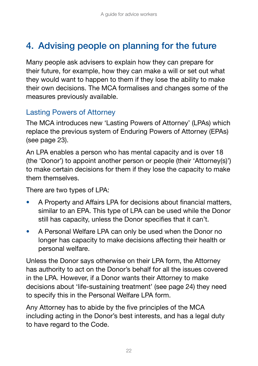## 4. Advising people on planning for the future

Many people ask advisers to explain how they can prepare for their future, for example, how they can make a will or set out what they would want to happen to them if they lose the ability to make their own decisions. The MCA formalises and changes some of the measures previously available.

### Lasting Powers of Attorney

The MCA introduces new 'Lasting Powers of Attorney' (LPAs) which replace the previous system of Enduring Powers of Attorney (EPAs) (see page 23).

An LPA enables a person who has mental capacity and is over 18 (the 'Donor') to appoint another person or people (their 'Attorney(s)') to make certain decisions for them if they lose the capacity to make them themselves.

There are two types of LPA:

- A Property and Affairs LPA for decisions about financial matters, similar to an EPA. This type of LPA can be used while the Donor still has capacity, unless the Donor specifies that it can't.
- A Personal Welfare LPA can only be used when the Donor no longer has capacity to make decisions affecting their health or personal welfare.

Unless the Donor says otherwise on their LPA form, the Attorney has authority to act on the Donor's behalf for all the issues covered in the LPA. However, if a Donor wants their Attorney to make decisions about 'life-sustaining treatment' (see page 24) they need to specify this in the Personal Welfare LPA form.

Any Attorney has to abide by the five principles of the MCA including acting in the Donor's best interests, and has a legal duty to have regard to the Code.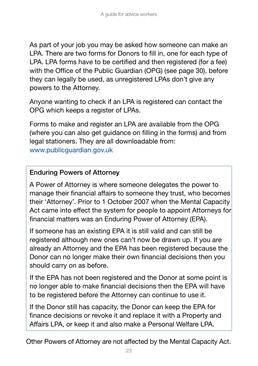As part of your job you may be asked how someone can make an LPA. There are two forms for Donors to fill in, one for each type of LPA. LPA forms have to be certified and then registered (for a fee) with the Office of the Public Guardian (OPG) (see page 30), before they can legally be used, as unregistered LPAs don't give any powers to the Attorney.

Anyone wanting to check if an LPA is registered can contact the OPG which keeps a register of LPAs.

Forms to make and register an LPA are available from the OPG (where you can also get guidance on filling in the forms) and from legal stationers. They are all downloadable from: www.publicguardian.gov.uk

#### Enduring Powers of Attorney

A Power of Attorney is where someone delegates the power to manage their financial affairs to someone they trust, who becomes their 'Attorney'. Prior to 1 October 2007 when the Mental Capacity Act came into effect the system for people to appoint Attorneys for financial matters was an Enduring Power of Attorney (EPA).

If someone has an existing EPA it is still valid and can still be registered although new ones can't now be drawn up. If you are already an Attorney and the EPA has been registered because the Donor can no longer make their own financial decisions then you should carry on as before.

If the EPA has not been registered and the Donor at some point is no longer able to make financial decisions then the EPA will have to be registered before the Attorney can continue to use it.

If the Donor still has capacity, the Donor can keep the EPA for finance decisions or revoke it and replace it with a Property and Affairs LPA, or keep it and also make a Personal Welfare LPA.

Other Powers of Attorney are not affected by the Mental Capacity Act.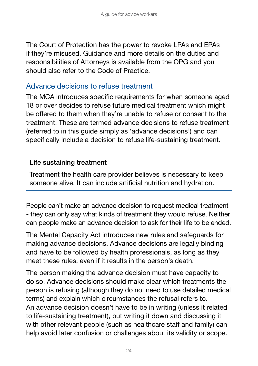The Court of Protection has the power to revoke LPAs and EPAs if they're misused. Guidance and more details on the duties and responsibilities of Attorneys is available from the OPG and you should also refer to the Code of Practice.

### Advance decisions to refuse treatment

The MCA introduces specific requirements for when someone aged 18 or over decides to refuse future medical treatment which might be offered to them when they're unable to refuse or consent to the treatment. These are termed advance decisions to refuse treatment (referred to in this guide simply as 'advance decisions') and can specifically include a decision to refuse life-sustaining treatment.

#### Life sustaining treatment

Treatment the health care provider believes is necessary to keep someone alive. It can include artificial nutrition and hydration.

People can't make an advance decision to request medical treatment - they can only say what kinds of treatment they would refuse. Neither can people make an advance decision to ask for their life to be ended.

The Mental Capacity Act introduces new rules and safeguards for making advance decisions. Advance decisions are legally binding and have to be followed by health professionals, as long as they meet these rules, even if it results in the person's death.

The person making the advance decision must have capacity to do so. Advance decisions should make clear which treatments the person is refusing (although they do not need to use detailed medical terms) and explain which circumstances the refusal refers to. An advance decision doesn't have to be in writing (unless it related to life-sustaining treatment), but writing it down and discussing it with other relevant people (such as healthcare staff and family) can help avoid later confusion or challenges about its validity or scope.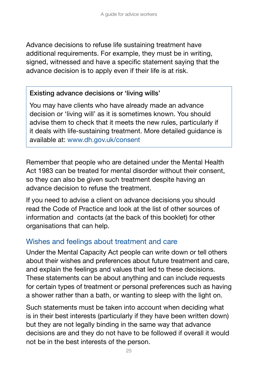Advance decisions to refuse life sustaining treatment have additional requirements. For example, they must be in writing, signed, witnessed and have a specific statement saying that the advance decision is to apply even if their life is at risk.

#### Existing advance decisions or 'living wills'

You may have clients who have already made an advance decision or 'living will' as it is sometimes known. You should advise them to check that it meets the new rules, particularly if it deals with life-sustaining treatment. More detailed guidance is available at: www.dh.gov.uk/consent

Remember that people who are detained under the Mental Health Act 1983 can be treated for mental disorder without their consent, so they can also be given such treatment despite having an advance decision to refuse the treatment.

If you need to advise a client on advance decisions you should read the Code of Practice and look at the list of other sources of information and contacts (at the back of this booklet) for other organisations that can help.

#### Wishes and feelings about treatment and care

Under the Mental Capacity Act people can write down or tell others about their wishes and preferences about future treatment and care, and explain the feelings and values that led to these decisions. These statements can be about anything and can include requests for certain types of treatment or personal preferences such as having a shower rather than a bath, or wanting to sleep with the light on.

Such statements must be taken into account when deciding what is in their best interests (particularly if they have been written down) but they are not legally binding in the same way that advance decisions are and they do not have to be followed if overall it would not be in the best interests of the person.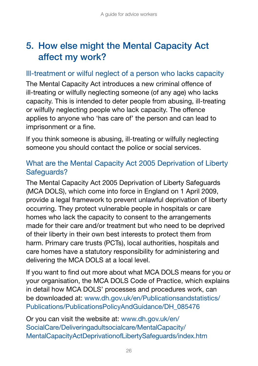## 5. How else might the Mental Capacity Act affect my work?

#### Ill-treatment or wilful neglect of a person who lacks capacity

The Mental Capacity Act introduces a new criminal offence of ill-treating or wilfully neglecting someone (of any age) who lacks capacity. This is intended to deter people from abusing, ill-treating or wilfully neglecting people who lack capacity. The offence applies to anyone who 'has care of' the person and can lead to imprisonment or a fine.

If you think someone is abusing, ill-treating or wilfully neglecting someone you should contact the police or social services.

### What are the Mental Capacity Act 2005 Deprivation of Liberty Safeguards?

The Mental Capacity Act 2005 Deprivation of Liberty Safeguards (MCA DOLS), which come into force in England on 1 April 2009, provide a legal framework to prevent unlawful deprivation of liberty occurring. They protect vulnerable people in hospitals or care homes who lack the capacity to consent to the arrangements made for their care and/or treatment but who need to be deprived of their liberty in their own best interests to protect them from harm. Primary care trusts (PCTs), local authorities, hospitals and care homes have a statutory responsibility for administering and delivering the MCA DOLS at a local level.

If you want to find out more about what MCA DOLS means for you or your organisation, the MCA DOLS Code of Practice, which explains in detail how MCA DOLS' processes and procedures work, can be downloaded at: www.dh.gov.uk/en/Publicationsandstatistics/ Publications/PublicationsPolicyAndGuidance/DH\_085476

Or you can visit the website at: www.dh.gov.uk/en/ SocialCare/Deliveringadultsocialcare/MentalCapacity/ MentalCapacityActDeprivationofLibertySafeguards/index.htm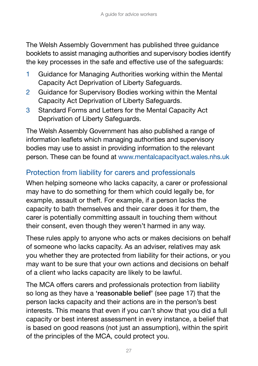The Welsh Assembly Government has published three guidance booklets to assist managing authorities and supervisory bodies identify the key processes in the safe and effective use of the safeguards:

- 1 Guidance for Managing Authorities working within the Mental Capacity Act Deprivation of Liberty Safeguards.
- 2 Guidance for Supervisory Bodies working within the Mental Capacity Act Deprivation of Liberty Safeguards.
- 3 Standard Forms and Letters for the Mental Capacity Act Deprivation of Liberty Safeguards.

The Welsh Assembly Government has also published a range of information leaflets which managing authorities and supervisory bodies may use to assist in providing information to the relevant person. These can be found at www.mentalcapacityact.wales.nhs.uk

## Protection from liability for carers and professionals

When helping someone who lacks capacity, a carer or professional may have to do something for them which could legally be, for example, assault or theft. For example, if a person lacks the capacity to bath themselves and their carer does it for them, the carer is potentially committing assault in touching them without their consent, even though they weren't harmed in any way.

These rules apply to anyone who acts or makes decisions on behalf of someone who lacks capacity. As an adviser, relatives may ask you whether they are protected from liability for their actions, or you may want to be sure that your own actions and decisions on behalf of a client who lacks capacity are likely to be lawful.

The MCA offers carers and professionals protection from liability so long as they have a 'reasonable belief' (see page 17) that the person lacks capacity and their actions are in the person's best interests. This means that even if you can't show that you did a full capacity or best interest assessment in every instance, a belief that is based on good reasons (not just an assumption), within the spirit of the principles of the MCA, could protect you.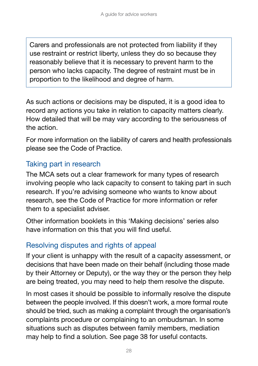Carers and professionals are not protected from liability if they use restraint or restrict liberty, unless they do so because they reasonably believe that it is necessary to prevent harm to the person who lacks capacity. The degree of restraint must be in proportion to the likelihood and degree of harm.

As such actions or decisions may be disputed, it is a good idea to record any actions you take in relation to capacity matters clearly. How detailed that will be may vary according to the seriousness of the action.

For more information on the liability of carers and health professionals please see the Code of Practice.

### Taking part in research

The MCA sets out a clear framework for many types of research involving people who lack capacity to consent to taking part in such research. If you're advising someone who wants to know about research, see the Code of Practice for more information or refer them to a specialist adviser.

Other information booklets in this 'Making decisions' series also have information on this that you will find useful.

### Resolving disputes and rights of appeal

If your client is unhappy with the result of a capacity assessment, or decisions that have been made on their behalf (including those made by their Attorney or Deputy), or the way they or the person they help are being treated, you may need to help them resolve the dispute.

In most cases it should be possible to informally resolve the dispute between the people involved. If this doesn't work, a more formal route should be tried, such as making a complaint through the organisation's complaints procedure or complaining to an ombudsman. In some situations such as disputes between family members, mediation may help to find a solution. See page 38 for useful contacts.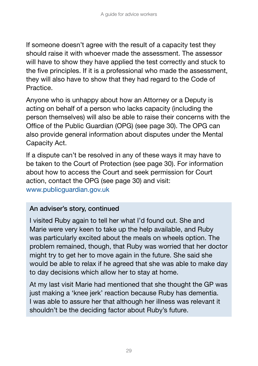If someone doesn't agree with the result of a capacity test they should raise it with whoever made the assessment. The assessor will have to show they have applied the test correctly and stuck to the five principles. If it is a professional who made the assessment, they will also have to show that they had regard to the Code of Practice.

Anyone who is unhappy about how an Attorney or a Deputy is acting on behalf of a person who lacks capacity (including the person themselves) will also be able to raise their concerns with the Office of the Public Guardian (OPG) (see page 30). The OPG can also provide general information about disputes under the Mental Capacity Act.

If a dispute can't be resolved in any of these ways it may have to be taken to the Court of Protection (see page 30). For information about how to access the Court and seek permission for Court action, contact the OPG (see page 30) and visit: www.publicguardian.gov.uk

#### An adviser's story, continued

I visited Ruby again to tell her what I'd found out. She and Marie were very keen to take up the help available, and Ruby was particularly excited about the meals on wheels option. The problem remained, though, that Ruby was worried that her doctor might try to get her to move again in the future. She said she would be able to relax if he agreed that she was able to make day to day decisions which allow her to stay at home.

At my last visit Marie had mentioned that she thought the GP was just making a 'knee jerk' reaction because Ruby has dementia. I was able to assure her that although her illness was relevant it shouldn't be the deciding factor about Ruby's future.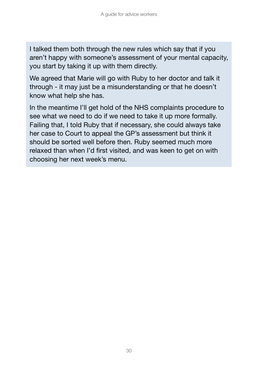I talked them both through the new rules which say that if you aren't happy with someone's assessment of your mental capacity, you start by taking it up with them directly.

We agreed that Marie will go with Ruby to her doctor and talk it through - it may just be a misunderstanding or that he doesn't know what help she has.

In the meantime I'll get hold of the NHS complaints procedure to see what we need to do if we need to take it up more formally. Failing that, I told Ruby that if necessary, she could always take her case to Court to appeal the GP's assessment but think it should be sorted well before then. Ruby seemed much more relaxed than when I'd first visited, and was keen to get on with choosing her next week's menu.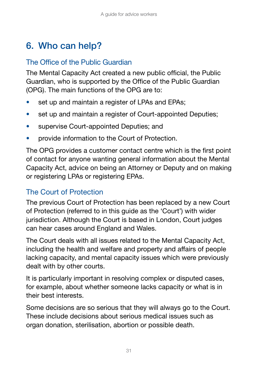## 6. Who can help?

## The Office of the Public Guardian

The Mental Capacity Act created a new public official, the Public Guardian, who is supported by the Office of the Public Guardian (OPG). The main functions of the OPG are to:

- set up and maintain a register of LPAs and EPAs;
- set up and maintain a register of Court-appointed Deputies;
- supervise Court-appointed Deputies; and
- provide information to the Court of Protection.

The OPG provides a customer contact centre which is the first point of contact for anyone wanting general information about the Mental Capacity Act, advice on being an Attorney or Deputy and on making or registering LPAs or registering EPAs.

### The Court of Protection

The previous Court of Protection has been replaced by a new Court of Protection (referred to in this guide as the 'Court') with wider jurisdiction. Although the Court is based in London, Court judges can hear cases around England and Wales.

The Court deals with all issues related to the Mental Capacity Act, including the health and welfare and property and affairs of people lacking capacity, and mental capacity issues which were previously dealt with by other courts.

It is particularly important in resolving complex or disputed cases, for example, about whether someone lacks capacity or what is in their best interests.

Some decisions are so serious that they will always go to the Court. These include decisions about serious medical issues such as organ donation, sterilisation, abortion or possible death.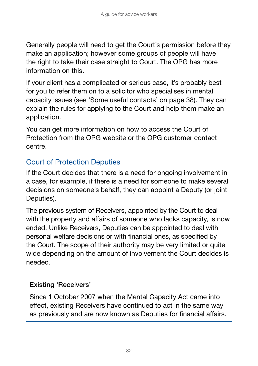Generally people will need to get the Court's permission before they make an application; however some groups of people will have the right to take their case straight to Court. The OPG has more information on this.

If your client has a complicated or serious case, it's probably best for you to refer them on to a solicitor who specialises in mental capacity issues (see 'Some useful contacts' on page 38). They can explain the rules for applying to the Court and help them make an application.

You can get more information on how to access the Court of Protection from the OPG website or the OPG customer contact centre.

## Court of Protection Deputies

If the Court decides that there is a need for ongoing involvement in a case, for example, if there is a need for someone to make several decisions on someone's behalf, they can appoint a Deputy (or joint Deputies).

The previous system of Receivers, appointed by the Court to deal with the property and affairs of someone who lacks capacity, is now ended. Unlike Receivers, Deputies can be appointed to deal with personal welfare decisions or with financial ones, as specified by the Court. The scope of their authority may be very limited or quite wide depending on the amount of involvement the Court decides is needed.

#### Existing 'Receivers'

Since 1 October 2007 when the Mental Capacity Act came into effect, existing Receivers have continued to act in the same way as previously and are now known as Deputies for financial affairs.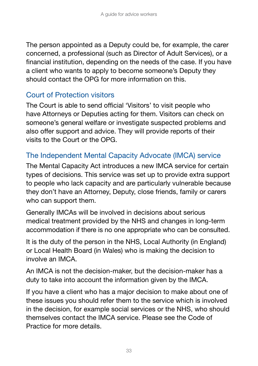The person appointed as a Deputy could be, for example, the carer concerned, a professional (such as Director of Adult Services), or a financial institution, depending on the needs of the case. If you have a client who wants to apply to become someone's Deputy they should contact the OPG for more information on this.

### Court of Protection visitors

The Court is able to send official 'Visitors' to visit people who have Attorneys or Deputies acting for them. Visitors can check on someone's general welfare or investigate suspected problems and also offer support and advice. They will provide reports of their visits to the Court or the OPG.

### The Independent Mental Capacity Advocate (IMCA) service

The Mental Capacity Act introduces a new IMCA service for certain types of decisions. This service was set up to provide extra support to people who lack capacity and are particularly vulnerable because they don't have an Attorney, Deputy, close friends, family or carers who can support them.

Generally IMCAs will be involved in decisions about serious medical treatment provided by the NHS and changes in long-term accommodation if there is no one appropriate who can be consulted.

It is the duty of the person in the NHS, Local Authority (in England) or Local Health Board (in Wales) who is making the decision to involve an IMCA.

An IMCA is not the decision-maker, but the decision-maker has a duty to take into account the information given by the IMCA.

If you have a client who has a major decision to make about one of these issues you should refer them to the service which is involved in the decision, for example social services or the NHS, who should themselves contact the IMCA service. Please see the Code of Practice for more details.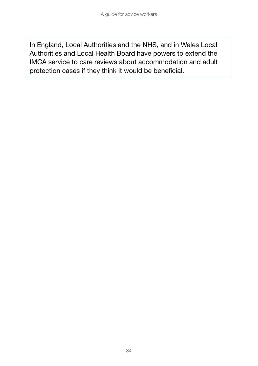In England, Local Authorities and the NHS, and in Wales Local Authorities and Local Health Board have powers to extend the IMCA service to care reviews about accommodation and adult protection cases if they think it would be beneficial.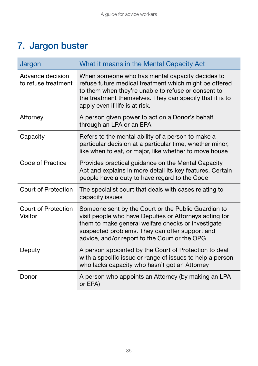## 7. Jargon buster

| Jargon                                  | What it means in the Mental Capacity Act                                                                                                                                                                                                                               |  |
|-----------------------------------------|------------------------------------------------------------------------------------------------------------------------------------------------------------------------------------------------------------------------------------------------------------------------|--|
| Advance decision<br>to refuse treatment | When someone who has mental capacity decides to<br>refuse future medical treatment which might be offered<br>to them when they're unable to refuse or consent to<br>the treatment themselves. They can specify that it is to<br>apply even if life is at risk.         |  |
| Attorney                                | A person given power to act on a Donor's behalf<br>through an LPA or an EPA                                                                                                                                                                                            |  |
| Capacity                                | Refers to the mental ability of a person to make a<br>particular decision at a particular time, whether minor,<br>like when to eat, or major, like whether to move house                                                                                               |  |
| Code of Practice                        | Provides practical guidance on the Mental Capacity<br>Act and explains in more detail its key features. Certain<br>people have a duty to have regard to the Code                                                                                                       |  |
| Court of Protection                     | The specialist court that deals with cases relating to<br>capacity issues                                                                                                                                                                                              |  |
| Court of Protection<br>Visitor          | Someone sent by the Court or the Public Guardian to<br>visit people who have Deputies or Attorneys acting for<br>them to make general welfare checks or investigate<br>suspected problems. They can offer support and<br>advice, and/or report to the Court or the OPG |  |
| Deputy                                  | A person appointed by the Court of Protection to deal<br>with a specific issue or range of issues to help a person<br>who lacks capacity who hasn't got an Attorney                                                                                                    |  |
| Donor                                   | A person who appoints an Attorney (by making an LPA<br>or EPA)                                                                                                                                                                                                         |  |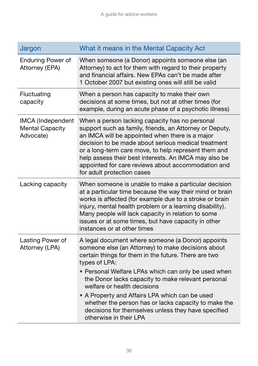| Jargon                                                   | What it means in the Mental Capacity Act                                                                                                                                                                                                                                                                                                                                                                                                                                                                                |
|----------------------------------------------------------|-------------------------------------------------------------------------------------------------------------------------------------------------------------------------------------------------------------------------------------------------------------------------------------------------------------------------------------------------------------------------------------------------------------------------------------------------------------------------------------------------------------------------|
| <b>Enduring Power of</b><br>Attorney (EPA)               | When someone (a Donor) appoints someone else (an<br>Attorney) to act for them with regard to their property<br>and financial affairs. New EPAs can't be made after<br>1 October 2007 but existing ones will still be valid                                                                                                                                                                                                                                                                                              |
| Fluctuating<br>capacity                                  | When a person has capacity to make their own<br>decisions at some times, but not at other times (for<br>example, during an acute phase of a psychotic illness)                                                                                                                                                                                                                                                                                                                                                          |
| IMCA (Independent<br><b>Mental Capacity</b><br>Advocate) | When a person lacking capacity has no personal<br>support such as family, friends, an Attorney or Deputy,<br>an IMCA will be appointed when there is a major<br>decision to be made about serious medical treatment<br>or a long-term care move, to help represent them and<br>help assess their best interests. An IMCA may also be<br>appointed for care reviews about accommodation and<br>for adult protection cases                                                                                                |
| Lacking capacity                                         | When someone is unable to make a particular decision<br>at a particular time because the way their mind or brain<br>works is affected (for example due to a stroke or brain<br>injury, mental health problem or a learning disability).<br>Many people will lack capacity in relation to some<br>issues or at some times, but have capacity in other<br>instances or at other times                                                                                                                                     |
| Lasting Power of<br>Attorney (LPA)                       | A legal document where someone (a Donor) appoints<br>someone else (an Attorney) to make decisions about<br>certain things for them in the future. There are two<br>types of LPA:<br>• Personal Welfare LPAs which can only be used when<br>the Donor lacks capacity to make relevant personal<br>welfare or health decisions<br>• A Property and Affairs LPA which can be used<br>whether the person has or lacks capacity to make the<br>decisions for themselves unless they have specified<br>otherwise in their LPA |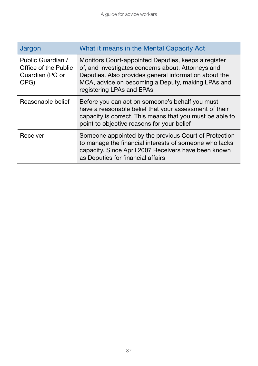| Jargon                                                               | What it means in the Mental Capacity Act                                                                                                                                                                                                             |  |
|----------------------------------------------------------------------|------------------------------------------------------------------------------------------------------------------------------------------------------------------------------------------------------------------------------------------------------|--|
| Public Guardian /<br>Office of the Public<br>Guardian (PG or<br>OPG) | Monitors Court-appointed Deputies, keeps a register<br>of, and investigates concerns about, Attorneys and<br>Deputies. Also provides general information about the<br>MCA, advice on becoming a Deputy, making LPAs and<br>registering LPAs and EPAs |  |
| Reasonable belief                                                    | Before you can act on someone's behalf you must<br>have a reasonable belief that your assessment of their<br>capacity is correct. This means that you must be able to<br>point to objective reasons for your belief                                  |  |
| Receiver                                                             | Someone appointed by the previous Court of Protection<br>to manage the financial interests of someone who lacks<br>capacity. Since April 2007 Receivers have been known<br>as Deputies for financial affairs                                         |  |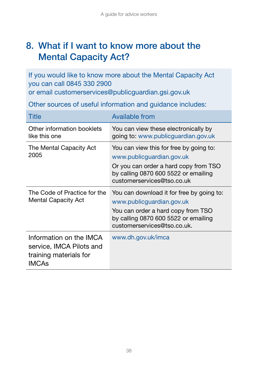## 8. What if I want to know more about the Mental Capacity Act?

If you would like to know more about the Mental Capacity Act you can call 0845 330 2900

or email customerservices@publicguardian.gsi.gov.uk

Other sources of useful information and guidance includes:

| Title                                                                                         | <b>Available from</b>                                                                                                                                                               |
|-----------------------------------------------------------------------------------------------|-------------------------------------------------------------------------------------------------------------------------------------------------------------------------------------|
| Other information booklets<br>like this one                                                   | You can view these electronically by<br>going to: www.publicguardian.gov.uk                                                                                                         |
| The Mental Capacity Act<br>2005                                                               | You can view this for free by going to:<br>www.publicguardian.gov.uk<br>Or you can order a hard copy from TSO<br>by calling 0870 600 5522 or emailing<br>customerservices@tso.co.uk |
| The Code of Practice for the<br><b>Mental Capacity Act</b>                                    | You can download it for free by going to:<br>www.publicguardian.gov.uk<br>You can order a hard copy from TSO<br>by calling 0870 600 5522 or emailing<br>customerservices@tso.co.uk. |
| Information on the IMCA<br>service, IMCA Pilots and<br>training materials for<br><b>IMCAs</b> | www.dh.gov.uk/imca                                                                                                                                                                  |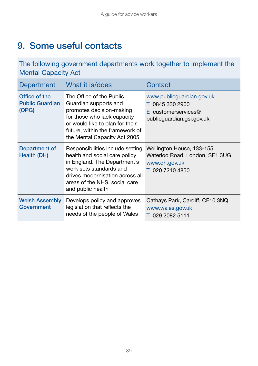## 9. Some useful contacts

The following government departments work together to implement the Mental Capacity Act

| Department                                       | What it is/does                                                                                                                                                                                                       | Contact                                                                                            |
|--------------------------------------------------|-----------------------------------------------------------------------------------------------------------------------------------------------------------------------------------------------------------------------|----------------------------------------------------------------------------------------------------|
| Office of the<br><b>Public Guardian</b><br>(OPG) | The Office of the Public<br>Guardian supports and<br>promotes decision-making<br>for those who lack capacity<br>or would like to plan for their<br>future, within the framework of<br>the Mental Capacity Act 2005    | www.publicguardian.gov.uk<br>T 0845 330 2900<br>$E$ customerservices@<br>publicguardian.gsi.gov.uk |
| Department of<br>Health (DH)                     | Responsibilities include setting<br>health and social care policy<br>in England. The Department's<br>work sets standards and<br>drives modernisation across all<br>areas of the NHS, social care<br>and public health | Wellington House, 133-155<br>Waterloo Road, London, SE1 3UG<br>www.dh.gov.uk<br>T 020 7210 4850    |
| <b>Welsh Assembly</b><br>Government              | Develops policy and approves<br>legislation that reflects the<br>needs of the people of Wales                                                                                                                         | Cathays Park, Cardiff, CF10 3NQ<br>www.wales.gov.uk<br>T 029 2082 5111                             |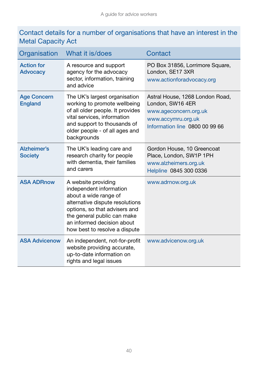#### Contact details for a number of organisations that have an interest in the Metal Capacity Act

| Organisation                         | What it is/does                                                                                                                                                                                                                           | Contact                                                                                                                              |
|--------------------------------------|-------------------------------------------------------------------------------------------------------------------------------------------------------------------------------------------------------------------------------------------|--------------------------------------------------------------------------------------------------------------------------------------|
| <b>Action for</b><br><b>Advocacy</b> | A resource and support<br>agency for the advocacy<br>sector, information, training<br>and advice                                                                                                                                          | PO Box 31856, Lorrimore Square,<br>London, SE17 3XR<br>www.actionforadvocacy.org                                                     |
| <b>Age Concern</b><br><b>England</b> | The UK's largest organisation<br>working to promote wellbeing<br>of all older people. It provides<br>vital services, information<br>and support to thousands of<br>older people - of all ages and<br>backgrounds                          | Astral House, 1268 London Road,<br>London, SW16 4ER<br>www.ageconcern.org.uk<br>www.accymru.org.uk<br>Information line 0800 00 99 66 |
| Alzheimer's<br><b>Society</b>        | The UK's leading care and<br>research charity for people<br>with dementia, their families<br>and carers                                                                                                                                   | Gordon House, 10 Greencoat<br>Place, London, SW1P 1PH<br>www.alzheimers.org.uk<br>Helpline 0845 300 0336                             |
| <b>ASA ADRnow</b>                    | A website providing<br>independent information<br>about a wide range of<br>alternative dispute resolutions<br>options, so that advisers and<br>the general public can make<br>an informed decision about<br>how best to resolve a dispute | www.adrnow.org.uk                                                                                                                    |
| <b>ASA Advicenow</b>                 | An independent, not-for-profit<br>website providing accurate,<br>up-to-date information on<br>rights and legal issues                                                                                                                     | www.advicenow.org.uk                                                                                                                 |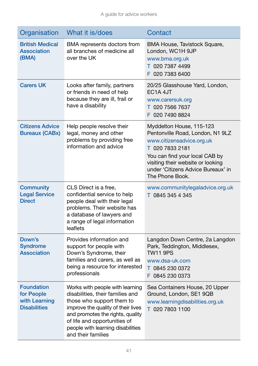| Organisation                                                            | What it is/does                                                                                                                                                                                                                                                       | Contact                                                                                                                                                                                                                                      |
|-------------------------------------------------------------------------|-----------------------------------------------------------------------------------------------------------------------------------------------------------------------------------------------------------------------------------------------------------------------|----------------------------------------------------------------------------------------------------------------------------------------------------------------------------------------------------------------------------------------------|
| <b>British Medical</b><br><b>Association</b><br>(BMA)                   | BMA represents doctors from<br>all branches of medicine all<br>over the UK                                                                                                                                                                                            | BMA House, Tavistock Square,<br>London, WC1H 9JP<br>www.bma.org.uk<br>T 020 7387 4499<br>F 020 7383 6400                                                                                                                                     |
| <b>Carers UK</b>                                                        | Looks after family, partners<br>or friends in need of help<br>because they are ill, frail or<br>have a disability                                                                                                                                                     | 20/25 Glasshouse Yard, London,<br>EC <sub>1</sub> A 4JT<br>www.carersuk.org<br>T 020 7566 7637<br>F 020 7490 8824                                                                                                                            |
| <b>Citizens Advice</b><br><b>Bureaux (CABx)</b>                         | Help people resolve their<br>legal, money and other<br>problems by providing free<br>information and advice                                                                                                                                                           | Myddelton House, 115-123<br>Pentonville Road, London, N1 9LZ<br>www.citizensadvice.org.uk<br>T 020 7833 2181<br>You can find your local CAB by<br>visiting their website or looking<br>under 'Citizens Advice Bureaux' in<br>The Phone Book. |
| <b>Community</b><br><b>Legal Service</b><br><b>Direct</b>               | CLS Direct is a free,<br>confidential service to help<br>people deal with their legal<br>problems. Their website has<br>a database of lawyers and<br>a range of legal information<br>leaflets                                                                         | www.communitylegaladvice.org.uk<br>T 0845 345 4 345                                                                                                                                                                                          |
| Down's<br><b>Syndrome</b><br><b>Association</b>                         | Provides information and<br>support for people with<br>Down's Syndrome, their<br>families and carers, as well as<br>being a resource for interested<br>professionals                                                                                                  | Langdon Down Centre, 2a Langdon<br>Park, Teddington, Middlesex,<br><b>TW11 9PS</b><br>www.dsa-uk.com<br>T 0845 230 0372<br>F 0845 230 0373                                                                                                   |
| <b>Foundation</b><br>for People<br>with Learning<br><b>Disabilities</b> | Works with people with learning<br>disabilities, their families and<br>those who support them to<br>improve the quality of their lives<br>and promotes the rights, quality<br>of life and opportunities of<br>people with learning disabilities<br>and their families | Sea Containers House, 20 Upper<br>Ground, London, SE1 9QB<br>www.learningdisabilities.org.uk<br>T 020 7803 1100                                                                                                                              |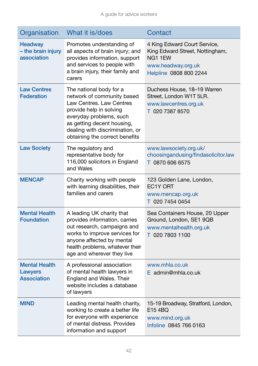| Organisation                                          | What it is/does                                                                                                                                                                                                                            | Contact                                                                                                                   |
|-------------------------------------------------------|--------------------------------------------------------------------------------------------------------------------------------------------------------------------------------------------------------------------------------------------|---------------------------------------------------------------------------------------------------------------------------|
| <b>Headway</b><br>- the brain injury<br>association   | Promotes understanding of<br>all aspects of brain injury; and<br>provides information, support<br>and services to people with<br>a brain injury, their family and<br>carers                                                                | 4 King Edward Court Service,<br>King Edward Street, Nottingham,<br>NG11EW<br>www.headway.org.uk<br>Helpline 0808 800 2244 |
| <b>Law Centres</b><br><b>Federation</b>               | The national body for a<br>network of community based<br>Law Centres, Law Centres<br>provide help in solving<br>everyday problems, such<br>as getting decent housing,<br>dealing with discrimination, or<br>obtaining the correct benefits | Duchess House, 18-19 Warren<br>Street, London W1T 5LR.<br>www.lawcentres.org.uk<br>T 020 7387 8570                        |
| <b>Law Society</b>                                    | The regulatory and<br>representative body for<br>116,000 solicitors in England<br>and Wales                                                                                                                                                | www.lawsociety.org.uk/<br>choosingandusing/findasolicitor.law<br>T 0870 606 6575                                          |
| <b>MENCAP</b>                                         | Charity working with people<br>with learning disabilities, their<br>families and carers                                                                                                                                                    | 123 Golden Lane, London,<br>EC1Y ORT<br>www.mencap.org.uk<br>T 020 7454 0454                                              |
| <b>Mental Health</b><br><b>Foundation</b>             | A leading UK charity that<br>provides information, carries<br>out research, campaigns and<br>works to improve services for<br>anyone affected by mental<br>health problems, whatever their<br>age and wherever they live                   | Sea Containers House, 20 Upper<br>Ground, London, SE1 9QB<br>www.mentalhealth.org.uk<br>T 020 7803 1100                   |
| <b>Mental Health</b><br>Lawyers<br><b>Association</b> | A professional association<br>of mental health lawyers in<br>England and Wales. Their<br>website includes a database<br>of lawyers                                                                                                         | www.mhla.co.uk<br>E admin@mhla.co.uk                                                                                      |
| <b>MIND</b>                                           | Leading mental health charity,<br>working to create a better life<br>for everyone with experience<br>of mental distress. Provides<br>information and support                                                                               | 15-19 Broadway, Stratford, London,<br>E15 4BQ<br>www.mind.org.uk<br>Infoline 0845 766 0163                                |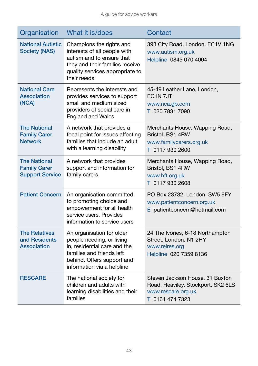| Organisation                                                         | What it is/does                                                                                                                                                                 | Contact                                                                                                        |
|----------------------------------------------------------------------|---------------------------------------------------------------------------------------------------------------------------------------------------------------------------------|----------------------------------------------------------------------------------------------------------------|
| <b>National Autistic</b><br><b>Society (NAS)</b>                     | Champions the rights and<br>interests of all people with<br>autism and to ensure that<br>they and their families receive<br>quality services appropriate to<br>their needs      | 393 City Road, London, EC1V 1NG<br>www.autism.org.uk<br>Helpline 0845 070 4004                                 |
| <b>National Care</b><br><b>Association</b><br>(NCA)                  | Represents the interests and<br>provides services to support<br>small and medium sized<br>providers of social care in<br><b>England and Wales</b>                               | 45-49 Leather Lane, London,<br>EC <sub>1</sub> N <sub>7J</sub> T<br>www.nca.gb.com<br>T 020 7831 7090          |
| <b>The National</b><br><b>Family Carer</b><br><b>Network</b>         | A network that provides a<br>focal point for issues affecting<br>families that include an adult<br>with a learning disability                                                   | Merchants House, Wapping Road,<br>Bristol, BS1 4RW<br>www.familycarers.org.uk<br>T 0117 930 2600               |
| <b>The National</b><br><b>Family Carer</b><br><b>Support Service</b> | A network that provides<br>support and information for<br>family carers                                                                                                         | Merchants House, Wapping Road,<br>Bristol, BS1 4RW<br>www.hft.org.uk<br>T 0117 930 2608                        |
| <b>Patient Concern</b>                                               | An organisation committed<br>to promoting choice and<br>empowerment for all health<br>service users. Provides<br>information to service users                                   | PO Box 23732, London, SW5 9FY<br>www.patientconcern.org.uk<br>E patientconcern@hotmail.com                     |
| <b>The Relatives</b><br>and Residents<br><b>Association</b>          | An organisation for older<br>people needing, or living<br>in, residential care and the<br>families and friends left<br>behind. Offers support and<br>information via a helpline | 24 The Ivories, 6-18 Northampton<br>Street, London, N1 2HY<br>www.relres.org<br>Helpline 020 7359 8136         |
| <b>RESCARE</b>                                                       | The national society for<br>children and adults with<br>learning disabilities and their<br>families                                                                             | Steven Jackson House, 31 Buxton<br>Road, Heaviley, Stockport, SK2 6LS<br>www.rescare.org.uk<br>T 0161 474 7323 |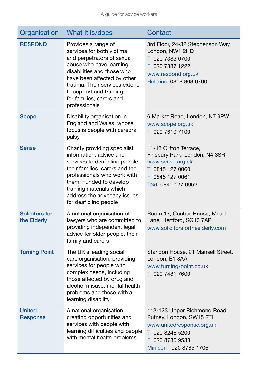| Organisation                         | What it is/does                                                                                                                                                                                                                                                                 | Contact                                                                                                                                                 |
|--------------------------------------|---------------------------------------------------------------------------------------------------------------------------------------------------------------------------------------------------------------------------------------------------------------------------------|---------------------------------------------------------------------------------------------------------------------------------------------------------|
| <b>RESPOND</b>                       | Provides a range of<br>services for both victims<br>and perpetrators of sexual<br>abuse who have learning<br>disabilities and those who<br>have been affected by other<br>trauma. Their services extend<br>to support and training<br>for families, carers and<br>professionals | 3rd Floor, 24-32 Stephenson Way,<br>London, NW1 2HD<br>T 020 7383 0700<br>F 020 7387 1222<br>www.respond.org.uk<br>Helpline 0808 808 0700               |
| <b>Scope</b>                         | Disability organisation in<br>England and Wales, whose<br>focus is people with cerebral<br>palsy                                                                                                                                                                                | 6 Market Road, London, N7 9PW<br>www.scope.org.uk<br>T 020 7619 7100                                                                                    |
| <b>Sense</b>                         | Charity providing specialist<br>information, advice and<br>services to deaf blind people,<br>their families, carers and the<br>professionals who work with<br>them. Funded to develop<br>training materials which<br>address the advocacy issues<br>for deaf blind people       | 11-13 Clifton Terrace,<br>Finsbury Park, London, N4 3SR<br>www.sense.org.uk<br>T 0845 127 0060<br>F 0845 127 0061<br>Text 0845 127 0062                 |
| <b>Solicitors for</b><br>the Elderly | A national organisation of<br>lawyers who are committed to<br>providing independent legal<br>advice for older people, their<br>family and carers                                                                                                                                | Room 17, Conbar House, Mead<br>Lane, Hertford, SG13 7AP<br>www.solicitorsfortheelderly.com                                                              |
| <b>Turning Point</b>                 | The UK's leading social<br>care organisation, providing<br>services for people with<br>complex needs, including<br>those affected by drug and<br>alcohol misuse, mental health<br>problems and those with a<br>learning disability                                              | Standon House, 21 Mansell Street,<br>London, E1 8AA<br>www.turning-point.co.uk<br>T 020 7481 7600                                                       |
| <b>United</b><br><b>Response</b>     | A national organisation<br>creating opportunities and<br>services with people with<br>learning difficulties and people<br>with mental health problems                                                                                                                           | 113-123 Upper Richmond Road,<br>Putney, London, SW15 2TL<br>www.unitedresponse.org.uk<br>T 020 8246 5200<br>F<br>020 8780 9538<br>Minicom 020 8785 1706 |